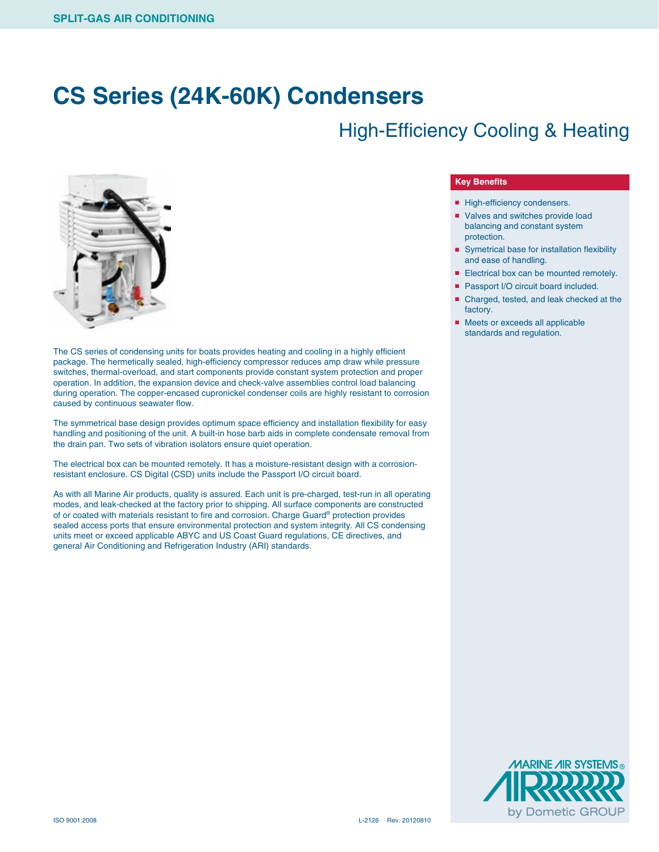## **CS Series (24K-60K) Condensers**

### High-Efficiency Cooling & Heating



The CS series of condensing units for boats provides heating and cooling in a highly efficient package. The hermetically sealed, high-efficiency compressor reduces amp draw while pressure switches, thermal-overload, and start components provide constant system protection and proper operation. In addition, the expansion device and check-valve assemblies control load balancing during operation. The copper-encased cupronickel condenser coils are highly resistant to corrosion caused by continuous seawater flow.

The symmetrical base design provides optimum space efficiency and installation flexibility for easy handling and positioning of the unit. A built-in hose barb aids in complete condensate removal from the drain pan. Two sets of vibration isolators ensure quiet operation.

The electrical box can be mounted remotely. It has a moisture-resistant design with a corrosionresistant enclosure. CS Digital (CSD) units include the Passport I/O circuit board.

As with all Marine Air products, quality is assured. Each unit is pre-charged, test-run in all operating modes, and leak-checked at the factory prior to shipping. All surface components are constructed of or coated with materials resistant to fire and corrosion. Charge Guard® protection provides sealed access ports that ensure environmental protection and system integrity. All CS condensing units meet or exceed applicable ABYC and US Coast Guard regulations, CE directives, and general Air Conditioning and Refrigeration Industry (ARI) standards.

#### **Key Benefits**

- High-efficiency condensers.
- Valves and switches provide load balancing and constant system protection.
- Symetrical base for installation flexibility and ease of handling.
- Electrical box can be mounted remotely.
- Passport I/O circuit board included.
- Charged, tested, and leak checked at the factory.
- Meets or exceeds all applicable standards and regulation.